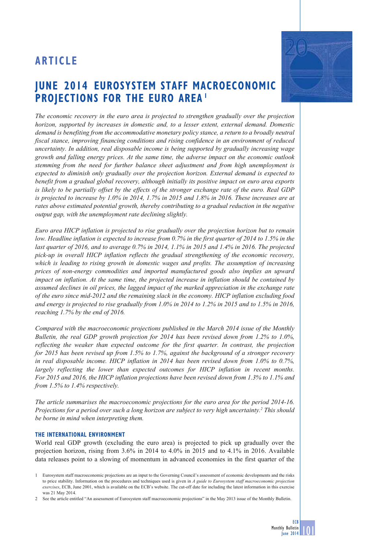# **JUNE 2014 EUROSYSTEM STAFF MACROECONOMIC PROJECTIONS FOR THE EURO AREA 1**



*Euro area HICP inflation is projected to rise gradually over the projection horizon but to remain low. Headline inflation is expected to increase from 0.7% in the first quarter of 2014 to 1.5% in the last quarter of 2016, and to average 0.7% in 2014, 1.1% in 2015 and 1.4% in 2016. The projected pick-up in overall HICP inflation reflects the gradual strengthening of the economic recovery, which is leading to rising growth in domestic wages and profits. The assumption of increasing prices of non-energy commodities and imported manufactured goods also implies an upward impact on inflation. At the same time, the projected increase in inflation should be contained by assumed declines in oil prices, the lagged impact of the marked appreciation in the exchange rate of the euro since mid-2012 and the remaining slack in the economy. HICP inflation excluding food and energy is projected to rise gradually from 1.0% in 2014 to 1.2% in 2015 and to 1.5% in 2016, reaching 1.7% by the end of 2016.*

*Compared with the macroeconomic projections published in the March 2014 issue of the Monthly Bulletin, the real GDP growth projection for 2014 has been revised down from 1.2% to 1.0%, reflecting the weaker than expected outcome for the first quarter. In contrast, the projection for 2015 has been revised up from 1.5% to 1.7%, against the background of a stronger recovery in real disposable income. HICP inflation in 2014 has been revised down from 1.0% to 0.7%, largely reflecting the lower than expected outcomes for HICP inflation in recent months. For 2015 and 2016, the HICP inflation projections have been revised down from 1.3% to 1.1% and from 1.5% to 1.4% respectively.*

*The article summarises the macroeconomic projections for the euro area for the period 2014-16. Projections for a period over such a long horizon are subject to very high uncertainty.2 This should be borne in mind when interpreting them.*

## **THE INTERNATIONAL ENVIRONMENT**

World real GDP growth (excluding the euro area) is projected to pick up gradually over the projection horizon, rising from 3.6% in 2014 to 4.0% in 2015 and to 4.1% in 2016. Available data releases point to a slowing of momentum in advanced economies in the first quarter of the





<sup>1</sup> Eurosystem staff macroeconomic projections are an input to the Governing Council's assessment of economic developments and the risks to price stability. Information on the procedures and techniques used is given in *A guide to Eurosystem staff macroeconomic projection exercises*, ECB, June 2001, which is available on the ECB's website. The cut-off date for including the latest information in this exercise was 21 May 2014.

<sup>2</sup> See the article entitled "An assessment of Eurosystem staff macroeconomic projections" in the May 2013 issue of the Monthly Bulletin.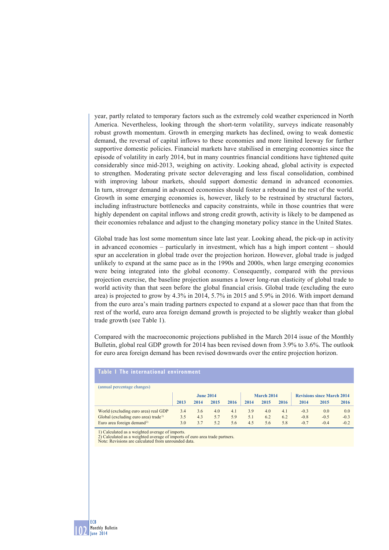year, partly related to temporary factors such as the extremely cold weather experienced in North America. Nevertheless, looking through the short-term volatility, surveys indicate reasonably robust growth momentum. Growth in emerging markets has declined, owing to weak domestic demand, the reversal of capital inflows to these economies and more limited leeway for further supportive domestic policies. Financial markets have stabilised in emerging economies since the episode of volatility in early 2014, but in many countries financial conditions have tightened quite considerably since mid-2013, weighing on activity. Looking ahead, global activity is expected to strengthen. Moderating private sector deleveraging and less fiscal consolidation, combined with improving labour markets, should support domestic demand in advanced economies. In turn, stronger demand in advanced economies should foster a rebound in the rest of the world. Growth in some emerging economies is, however, likely to be restrained by structural factors, including infrastructure bottlenecks and capacity constraints, while in those countries that were highly dependent on capital inflows and strong credit growth, activity is likely to be dampened as their economies rebalance and adjust to the changing monetary policy stance in the United States.

Global trade has lost some momentum since late last year. Looking ahead, the pick-up in activity in advanced economies – particularly in investment, which has a high import content – should spur an acceleration in global trade over the projection horizon. However, global trade is judged unlikely to expand at the same pace as in the 1990s and 2000s, when large emerging economies were being integrated into the global economy. Consequently, compared with the previous projection exercise, the baseline projection assumes a lower long-run elasticity of global trade to world activity than that seen before the global financial crisis. Global trade (excluding the euro area) is projected to grow by 4.3% in 2014, 5.7% in 2015 and 5.9% in 2016. With import demand from the euro area's main trading partners expected to expand at a slower pace than that from the rest of the world, euro area foreign demand growth is projected to be slightly weaker than global trade growth (see Table 1).

Compared with the macroeconomic projections published in the March 2014 issue of the Monthly Bulletin, global real GDP growth for 2014 has been revised down from 3.9% to 3.6%. The outlook for euro area foreign demand has been revised downwards over the entire projection horizon.

### **Table 1 The international environment**

| (annual percentage changes)                      |      |                  |      |      |      |            |      |        |                                   |        |
|--------------------------------------------------|------|------------------|------|------|------|------------|------|--------|-----------------------------------|--------|
|                                                  |      | <b>June 2014</b> |      |      |      | March 2014 |      |        | <b>Revisions since March 2014</b> |        |
|                                                  | 2013 | 2014             | 2015 | 2016 | 2014 | 2015       | 2016 | 2014   | 2015                              | 2016   |
| World (excluding euro area) real GDP             | 3.4  | 3.6              | 4.0  | 4.1  | 3.9  | 4.0        | 4.1  | $-0.3$ | 0.0                               | 0.0    |
| Global (excluding euro area) trade <sup>1)</sup> | 3.5  | 4.3              | 5.7  | 5.9  | 5.1  | 6.2        | 6.2  | $-0.8$ | $-0.5$                            | $-0.3$ |
| Euro area foreign demand <sup>2)</sup>           | 3.0  | 3.7              | 5.2  | 5.6  | 4.5  | 5.6        | 5.8  | $-0.7$ | $-0.4$                            | $-0.2$ |

1) Calculated as a weighted average of imports.

2) Calculated as a weighted average of imports of euro area trade partners. Note: Revisions are calculated from unrounded data.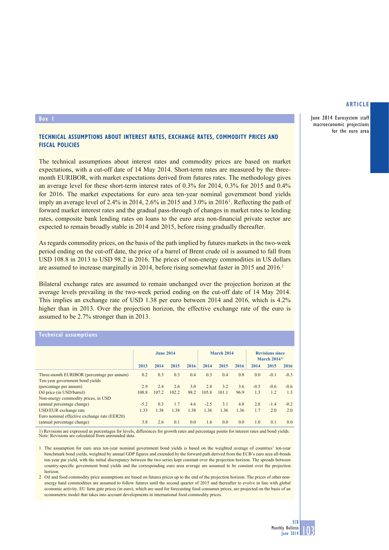June 2014 Eurosystem staff macroeconomic projections for the euro area

#### **Box 1**

# **TECHNICAL ASSUMPTIONS ABOUT INTEREST RATES, EXCHANGE RATES, COMMODITY PRICES AND FISCAL POLICIES**

The technical assumptions about interest rates and commodity prices are based on market expectations, with a cut-off date of 14 May 2014. Short-term rates are measured by the threemonth EURIBOR, with market expectations derived from futures rates. The methodology gives an average level for these short-term interest rates of 0.3% for 2014, 0.3% for 2015 and 0.4% for 2016. The market expectations for euro area ten-year nominal government bond yields imply an average level of 2.4% in 2014, 2.6% in 2015 and 3.0% in 2016<sup>1</sup>. Reflecting the path of forward market interest rates and the gradual pass-through of changes in market rates to lending rates, composite bank lending rates on loans to the euro area non-financial private sector are expected to remain broadly stable in 2014 and 2015, before rising gradually thereafter.

As regards commodity prices, on the basis of the path implied by futures markets in the two-week period ending on the cut-off date, the price of a barrel of Brent crude oil is assumed to fall from USD 108.8 in 2013 to USD 98.2 in 2016. The prices of non-energy commodities in US dollars are assumed to increase marginally in 2014, before rising somewhat faster in 2015 and 2016.<sup>2</sup>

Bilateral exchange rates are assumed to remain unchanged over the projection horizon at the average levels prevailing in the two-week period ending on the cut-off date of 14 May 2014. This implies an exchange rate of USD 1.38 per euro between 2014 and 2016, which is 4.2% higher than in 2013. Over the projection horizon, the effective exchange rate of the euro is assumed to be 2.7% stronger than in 2013.

## **Technical assumptions**

|                                                           | <b>June 2014</b> |       |       |      | <b>March 2014</b> |       |      | <b>Revisions since</b><br>March $20141$ |        |        |
|-----------------------------------------------------------|------------------|-------|-------|------|-------------------|-------|------|-----------------------------------------|--------|--------|
|                                                           | 2013             | 2014  | 2015  | 2016 | 2014              | 2015  | 2016 | 2014                                    | 2015   | 2016   |
| Three-month EURIBOR (percentage per annum)                | 0.2              | 0.3   | 0.3   | 0.4  | 0.3               | 0.4   | 0.8  | 0.0                                     | $-0.1$ | $-0.3$ |
| Ten-year government bond yields<br>(percentage per annum) | 2.9              | 2.4   | 2.6   | 3.0  | 2.8               | 3.2   | 3.6  | $-0.5$                                  | $-0.6$ | $-0.6$ |
| Oil price (in USD/barrel)                                 | 108.8            | 107.2 | 102.2 | 98.2 | 105.8             | 101.1 | 96.9 | 1.3                                     | 1.2    | 1.3    |
| Non-energy commodity prices, in USD                       |                  |       |       |      |                   |       |      |                                         |        |        |
| (annual percentage change)                                | $-5.2$           | 0.3   | 1.7   | 4.6  | $-2.5$            | 3.1   | 4.8  | 2.8                                     | $-1.4$ | $-0.2$ |
| USD/EUR exchange rate                                     | 1.33             | 1.38  | 1.38  | 1.38 | 1.36              | 1.36  | 1.36 | 1.7                                     | 2.0    | 2.0    |
| Euro nominal effective exchange rate (EER20)              |                  |       |       |      |                   |       |      |                                         |        |        |
| (annual percentage change)                                | 3.8              | 2.6   | 0.1   | 0.0  | 1.6               | 0.0   | 0.0  | 1.0                                     | 0.1    | 0.0    |

1) Revisions are expressed as percentages for levels, differences for growth rates and percentage points for interest rates and bond yields. Note: Revisions are calculated from unrounded data.

1 The assumption for euro area ten-year nominal government bond yields is based on the weighted average of countries' ten-year benchmark bond yields, weighted by annual GDP figures and extended by the forward path derived from the ECB's euro area all-bonds ten-year par yield, with the initial discrepancy between the two series kept constant over the projection horizon. The spreads between country-specific government bond yields and the corresponding euro area average are assumed to be constant over the projection horizon.

2 Oil and food commodity price assumptions are based on futures prices up to the end of the projection horizon. The prices of other nonenergy hard commodities are assumed to follow futures until the second quarter of 2015 and thereafter to evolve in line with global economic activity. EU farm gate prices (in euro), which are used for forecasting food consumer prices, are projected on the basis of an econometric model that takes into account developments in international food commodity prices.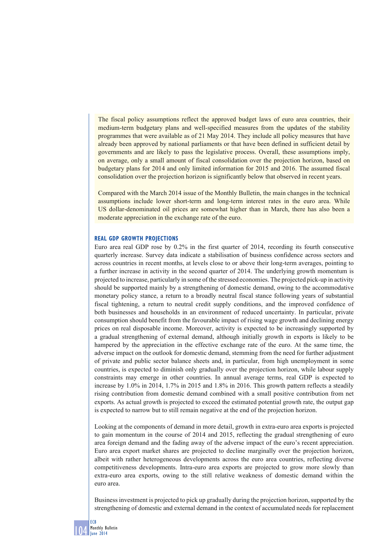The fiscal policy assumptions reflect the approved budget laws of euro area countries, their medium-term budgetary plans and well-specified measures from the updates of the stability programmes that were available as of 21 May 2014. They include all policy measures that have already been approved by national parliaments or that have been defined in sufficient detail by governments and are likely to pass the legislative process. Overall, these assumptions imply, on average, only a small amount of fiscal consolidation over the projection horizon, based on budgetary plans for 2014 and only limited information for 2015 and 2016. The assumed fiscal consolidation over the projection horizon is significantly below that observed in recent years.

Compared with the March 2014 issue of the Monthly Bulletin, the main changes in the technical assumptions include lower short-term and long-term interest rates in the euro area. While US dollar-denominated oil prices are somewhat higher than in March, there has also been a moderate appreciation in the exchange rate of the euro.

## **REAL GDP GROWTH PROJECTIONS**

Euro area real GDP rose by 0.2% in the first quarter of 2014, recording its fourth consecutive quarterly increase. Survey data indicate a stabilisation of business confidence across sectors and across countries in recent months, at levels close to or above their long-term averages, pointing to a further increase in activity in the second quarter of 2014. The underlying growth momentum is projected to increase, particularly in some of the stressed economies. The projected pick-up in activity should be supported mainly by a strengthening of domestic demand, owing to the accommodative monetary policy stance, a return to a broadly neutral fiscal stance following years of substantial fiscal tightening, a return to neutral credit supply conditions, and the improved confidence of both businesses and households in an environment of reduced uncertainty. In particular, private consumption should benefit from the favourable impact of rising wage growth and declining energy prices on real disposable income. Moreover, activity is expected to be increasingly supported by a gradual strengthening of external demand, although initially growth in exports is likely to be hampered by the appreciation in the effective exchange rate of the euro. At the same time, the adverse impact on the outlook for domestic demand, stemming from the need for further adjustment of private and public sector balance sheets and, in particular, from high unemployment in some countries, is expected to diminish only gradually over the projection horizon, while labour supply constraints may emerge in other countries. In annual average terms, real GDP is expected to increase by 1.0% in 2014, 1.7% in 2015 and 1.8% in 2016. This growth pattern reflects a steadily rising contribution from domestic demand combined with a small positive contribution from net exports. As actual growth is projected to exceed the estimated potential growth rate, the output gap is expected to narrow but to still remain negative at the end of the projection horizon.

Looking at the components of demand in more detail, growth in extra-euro area exports is projected to gain momentum in the course of 2014 and 2015, reflecting the gradual strengthening of euro area foreign demand and the fading away of the adverse impact of the euro's recent appreciation. Euro area export market shares are projected to decline marginally over the projection horizon, albeit with rather heterogeneous developments across the euro area countries, reflecting diverse competitiveness developments. Intra-euro area exports are projected to grow more slowly than extra-euro area exports, owing to the still relative weakness of domestic demand within the euro area.

Business investment is projected to pick up gradually during the projection horizon, supported by the strengthening of domestic and external demand in the context of accumulated needs for replacement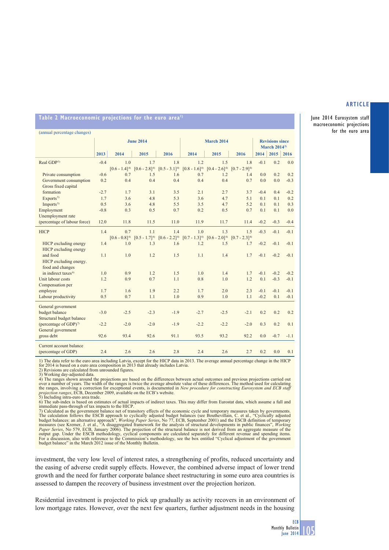June 2014 Eurosystem staff macroeconomic projections for the euro area

# Table 2 Macroeconomic projections for the euro area<sup>1)</sup>

| (annual percentage changes)       |                  |                   |                   |                   |                   |                                                           |                   |        |        |        |
|-----------------------------------|------------------|-------------------|-------------------|-------------------|-------------------|-----------------------------------------------------------|-------------------|--------|--------|--------|
|                                   | <b>June 2014</b> |                   |                   |                   | <b>March 2014</b> | <b>Revisions since</b><br><b>March 2014</b> <sup>2)</sup> |                   |        |        |        |
|                                   | 2013             | 2014              | 2015              | 2016              | 2014              | 2015                                                      | 2016              | 2014   | 2015   | 2016   |
| Real GDP <sup>3)</sup>            | $-0.4$           | 1.0               | 1.7               | 1.8               | 1.2               | 1.5                                                       | 1.8               | $-0.1$ | 0.2    | 0.0    |
|                                   |                  | $[0.6 - 1.4]^{4}$ | $[0.6 - 2.8]^{4}$ | $[0.5 - 3.1]^{4}$ | $[0.8 - 1.6]^{4}$ | $[0.4 - 2.6]^{4}$                                         | $[0.7 - 2.9]^{4}$ |        |        |        |
| Private consumption               | $-0.6$           | 0.7               | 1.5               | 1.6               | 0.7               | 1.2                                                       | 1.4               | 0.0    | 0.2    | 0.2    |
| Government consumption            | 0.2              | 0.4               | 0.4               | 0.4               | 0.4               | 0.4                                                       | 0.7               | 0.0    | 0.0    | $-0.3$ |
| Gross fixed capital               |                  |                   |                   |                   |                   |                                                           |                   |        |        |        |
| formation                         | $-2.7$           | 1.7               | 3.1               | 3.5               | 2.1               | 2.7                                                       | 3.7               | $-0.4$ | 0.4    | $-0.2$ |
| Exports <sup>5</sup>              | 1.7              | 3.6               | 4.8               | 5.3               | 3.6               | 4.7                                                       | 5.1               | 0.1    | 0.1    | 0.2    |
| Imports <sup>5)</sup>             | 0.5              | 3.6               | 4.8               | 5.5               | 3.5               | 4.7                                                       | 5.2               | 0.1    | 0.1    | 0.3    |
| Employment                        | $-0.8$           | 0.3               | 0.5               | 0.7               | 0.2               | 0.5                                                       | 0.7               | 0.1    | 0.1    | 0.0    |
| Unemployment rate                 |                  |                   |                   |                   |                   |                                                           |                   |        |        |        |
| (percentage of labour force)      | 12.0             | 11.8              | 11.5              | 11.0              | 11.9              | 11.7                                                      | 11.4              | $-0.2$ | $-0.3$ | $-0.4$ |
| <b>HICP</b>                       | 1.4              | 0.7               | 1.1               | 1.4               | 1.0               | 1.3                                                       | 1.5               | $-0.3$ | $-0.1$ | $-0.1$ |
|                                   |                  | $[0.6 - 0.8]^{4}$ | $[0.5 - 1.7]^{4}$ | $[0.6 - 2.2]^{4}$ | $[0.7 - 1.3]^{4}$ | $[0.6 - 2.0]^{4}$                                         | $[0.7 - 2.3]^{4}$ |        |        |        |
| HICP excluding energy             | 1.4              | 1.0               | 1.3               | 1.6               | 1.2               | 1.5                                                       | 1.7               | $-0.2$ | $-0.1$ | $-0.1$ |
| HICP excluding energy             |                  |                   |                   |                   |                   |                                                           |                   |        |        |        |
| and food                          | 1.1              | 1.0               | 1.2               | 1.5               | 1.1               | 1.4                                                       | 1.7               | $-0.1$ | $-0.2$ | $-0.1$ |
| HICP excluding energy.            |                  |                   |                   |                   |                   |                                                           |                   |        |        |        |
| food and changes                  |                  |                   |                   |                   |                   |                                                           |                   |        |        |        |
| in indirect taxes <sup>6)</sup>   | 1.0              | 0.9               | 1.2               | 1.5               | 1.0               | 1.4                                                       | 1.7               | $-0.1$ | $-0.2$ | $-0.2$ |
| Unit labour costs                 | 1.2              | 0.9               | 0.7               | 1.1               | 0.8               | 1.0                                                       | 1.2               | 0.1    | $-0.3$ | $-0.1$ |
| Compensation per                  |                  |                   |                   |                   |                   |                                                           |                   |        |        |        |
| employee                          | 1.7              | 1.6               | 1.9               | 2.2               | 1.7               | 2.0                                                       | 2.3               | $-0.1$ | $-0.1$ | $-0.1$ |
| Labour productivity               | 0.5              | 0.7               | 1.1               | 1.0               | 0.9               | 1.0                                                       | 1.1               | $-0.2$ | 0.1    | $-0.1$ |
| General government                |                  |                   |                   |                   |                   |                                                           |                   |        |        |        |
| budget balance                    | $-3.0$           | $-2.5$            | $-2.3$            | $-1.9$            | $-2.7$            | $-2.5$                                                    | $-2.1$            | 0.2    | 0.2    | 0.2    |
| Structural budget balance         |                  |                   |                   |                   |                   |                                                           |                   |        |        |        |
| (percentage of GDP) <sup>7)</sup> | $-2.2$           | $-2.0$            | $-2.0$            | $-1.9$            | $-2.2$            | $-2.2$                                                    | $-2.0$            | 0.3    | 0.2    | 0.1    |
| General government                |                  |                   |                   |                   |                   |                                                           |                   |        |        |        |
| gross debt                        | 92.6             | 93.4              | 92.6              | 91.1              | 93.5              | 93.2                                                      | 92.2              | 0.0    | $-0.7$ | $-1.1$ |
| Current account balance           |                  |                   |                   |                   |                   |                                                           |                   |        |        |        |
| (percentage of GDP)               | 2.4              | 2.6               | 2.6               | 2.8               | 2.4               | 2.6                                                       | 2.7               | 0.2    | 0.0    | 0.1    |

1) The data refer to the euro area including Latvia, except for the HICP data in 2013. The average annual percentage change in the HICP<br>for 2014 is based on a euro area composition in 2013 that already includes Latvia.<br>2)

3) Working day-adjusted data.

4) The ranges shown around the projections are based on the differences between actual outcomes and previous projections carried out over a number of years. The width of the ranges is twice the average absolute value of th the ranges, involving a correction for exceptional events, is documented in *New procedure for constructing Eurosystem and ECB staff*<br>*projection ranges*, ECB, December 2009, available on the ECB's website.<br>5) Including in

6) The sub-index is based on estimates of actual impacts of indirect taxes. This may differ from Eurostat data, which assume a full and immediate pass-through of tax impacts to the HICP.<br>7) Calculated as the government ba

investment, the very low level of interest rates, a strengthening of profits, reduced uncertainty and the easing of adverse credit supply effects. However, the combined adverse impact of lower trend growth and the need for further corporate balance sheet restructuring in some euro area countries is assessed to dampen the recovery of business investment over the projection horizon.

Residential investment is projected to pick up gradually as activity recovers in an environment of low mortgage rates. However, over the next few quarters, further adjustment needs in the housing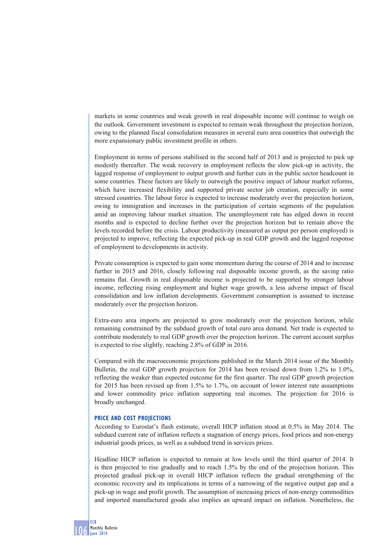markets in some countries and weak growth in real disposable income will continue to weigh on the outlook. Government investment is expected to remain weak throughout the projection horizon, owing to the planned fiscal consolidation measures in several euro area countries that outweigh the more expansionary public investment profile in others.

Employment in terms of persons stabilised in the second half of 2013 and is projected to pick up modestly thereafter. The weak recovery in employment reflects the slow pick-up in activity, the lagged response of employment to output growth and further cuts in the public sector headcount in some countries. These factors are likely to outweigh the positive impact of labour market reforms, which have increased flexibility and supported private sector job creation, especially in some stressed countries. The labour force is expected to increase moderately over the projection horizon, owing to immigration and increases in the participation of certain segments of the population amid an improving labour market situation. The unemployment rate has edged down in recent months and is expected to decline further over the projection horizon but to remain above the levels recorded before the crisis. Labour productivity (measured as output per person employed) is projected to improve, reflecting the expected pick-up in real GDP growth and the lagged response of employment to developments in activity.

Private consumption is expected to gain some momentum during the course of 2014 and to increase further in 2015 and 2016, closely following real disposable income growth, as the saving ratio remains flat. Growth in real disposable income is projected to be supported by stronger labour income, reflecting rising employment and higher wage growth, a less adverse impact of fiscal consolidation and low inflation developments. Government consumption is assumed to increase moderately over the projection horizon.

Extra-euro area imports are projected to grow moderately over the projection horizon, while remaining constrained by the subdued growth of total euro area demand. Net trade is expected to contribute moderately to real GDP growth over the projection horizon. The current account surplus is expected to rise slightly, reaching 2.8% of GDP in 2016.

Compared with the macroeconomic projections published in the March 2014 issue of the Monthly Bulletin, the real GDP growth projection for 2014 has been revised down from 1.2% to 1.0%, reflecting the weaker than expected outcome for the first quarter. The real GDP growth projection for 2015 has been revised up from 1.5% to 1.7%, on account of lower interest rate assumptions and lower commodity price inflation supporting real incomes. The projection for 2016 is broadly unchanged.

## **PRICE AND COST PROJECTIONS**

According to Eurostat's flash estimate, overall HICP inflation stood at 0.5% in May 2014. The subdued current rate of inflation reflects a stagnation of energy prices, food prices and non-energy industrial goods prices, as well as a subdued trend in services prices.

Headline HICP inflation is expected to remain at low levels until the third quarter of 2014. It is then projected to rise gradually and to reach 1.5% by the end of the projection horizon. This projected gradual pick-up in overall HICP inflation reflects the gradual strengthening of the economic recovery and its implications in terms of a narrowing of the negative output gap and a pick-up in wage and profit growth. The assumption of increasing prices of non-energy commodities and imported manufactured goods also implies an upward impact on inflation. Nonetheless, the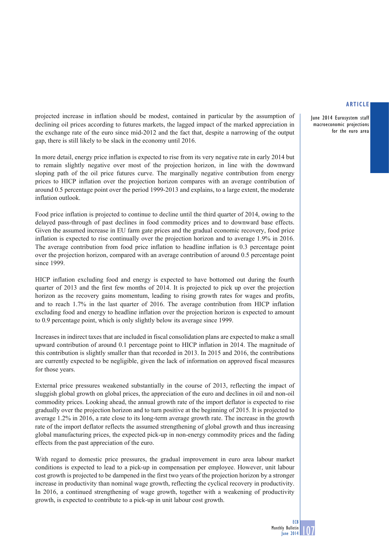June 2014 Eurosystem staff macroeconomic projections for the euro area

projected increase in inflation should be modest, contained in particular by the assumption of declining oil prices according to futures markets, the lagged impact of the marked appreciation in the exchange rate of the euro since mid-2012 and the fact that, despite a narrowing of the output gap, there is still likely to be slack in the economy until 2016.

In more detail, energy price inflation is expected to rise from its very negative rate in early 2014 but to remain slightly negative over most of the projection horizon, in line with the downward sloping path of the oil price futures curve. The marginally negative contribution from energy prices to HICP inflation over the projection horizon compares with an average contribution of around 0.5 percentage point over the period 1999-2013 and explains, to a large extent, the moderate inflation outlook.

Food price inflation is projected to continue to decline until the third quarter of 2014, owing to the delayed pass-through of past declines in food commodity prices and to downward base effects. Given the assumed increase in EU farm gate prices and the gradual economic recovery, food price inflation is expected to rise continually over the projection horizon and to average 1.9% in 2016. The average contribution from food price inflation to headline inflation is 0.3 percentage point over the projection horizon, compared with an average contribution of around 0.5 percentage point since 1999.

HICP inflation excluding food and energy is expected to have bottomed out during the fourth quarter of 2013 and the first few months of 2014. It is projected to pick up over the projection horizon as the recovery gains momentum, leading to rising growth rates for wages and profits, and to reach 1.7% in the last quarter of 2016. The average contribution from HICP inflation excluding food and energy to headline inflation over the projection horizon is expected to amount to 0.9 percentage point, which is only slightly below its average since 1999.

Increases in indirect taxes that are included in fiscal consolidation plans are expected to make a small upward contribution of around 0.1 percentage point to HICP inflation in 2014. The magnitude of this contribution is slightly smaller than that recorded in 2013. In 2015 and 2016, the contributions are currently expected to be negligible, given the lack of information on approved fiscal measures for those years.

External price pressures weakened substantially in the course of 2013, reflecting the impact of sluggish global growth on global prices, the appreciation of the euro and declines in oil and non-oil commodity prices. Looking ahead, the annual growth rate of the import deflator is expected to rise gradually over the projection horizon and to turn positive at the beginning of 2015. It is projected to average 1.2% in 2016, a rate close to its long-term average growth rate. The increase in the growth rate of the import deflator reflects the assumed strengthening of global growth and thus increasing global manufacturing prices, the expected pick-up in non-energy commodity prices and the fading effects from the past appreciation of the euro.

With regard to domestic price pressures, the gradual improvement in euro area labour market conditions is expected to lead to a pick-up in compensation per employee. However, unit labour cost growth is projected to be dampened in the first two years of the projection horizon by a stronger increase in productivity than nominal wage growth, reflecting the cyclical recovery in productivity. In 2016, a continued strengthening of wage growth, together with a weakening of productivity growth, is expected to contribute to a pick-up in unit labour cost growth.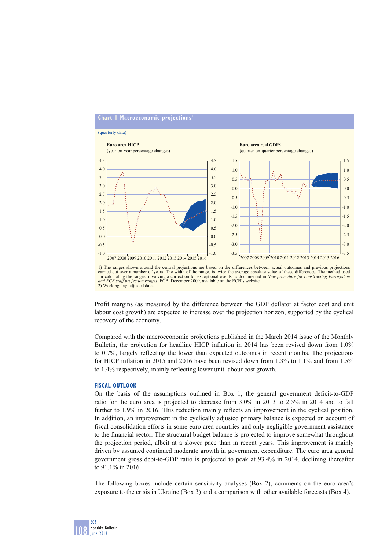## **Chart 1 Macroeconomic projections 1)**



1) The ranges shown around the central projections are based on the differences between actual outcomes and previous projections carried out over a number of years. The width of the ranges is twice the average absolute val for calculating the ranges, involving a correction for exceptional events, is documented in *New procedure for constructing Eurosystem*  For calculating the ranges, involving a correction for exceptional events, is documented and *ECB* staff projection ranges, ECB, December 2009, available on the ECB's website. 2) Working day-adjusted data

Profit margins (as measured by the difference between the GDP deflator at factor cost and unit labour cost growth) are expected to increase over the projection horizon, supported by the cyclical recovery of the economy.

Compared with the macroeconomic projections published in the March 2014 issue of the Monthly Bulletin, the projection for headline HICP inflation in 2014 has been revised down from 1.0% to 0.7%, largely reflecting the lower than expected outcomes in recent months. The projections for HICP inflation in 2015 and 2016 have been revised down from 1.3% to 1.1% and from 1.5% to 1.4% respectively, mainly reflecting lower unit labour cost growth.

#### **FISCAL OUTLOOK**

On the basis of the assumptions outlined in Box 1, the general government deficit-to-GDP ratio for the euro area is projected to decrease from 3.0% in 2013 to 2.5% in 2014 and to fall further to 1.9% in 2016. This reduction mainly reflects an improvement in the cyclical position. In addition, an improvement in the cyclically adjusted primary balance is expected on account of fiscal consolidation efforts in some euro area countries and only negligible government assistance to the financial sector. The structural budget balance is projected to improve somewhat throughout the projection period, albeit at a slower pace than in recent years. This improvement is mainly driven by assumed continued moderate growth in government expenditure. The euro area general government gross debt-to-GDP ratio is projected to peak at 93.4% in 2014, declining thereafter to 91.1% in 2016.

The following boxes include certain sensitivity analyses (Box 2), comments on the euro area's exposure to the crisis in Ukraine (Box 3) and a comparison with other available forecasts (Box 4).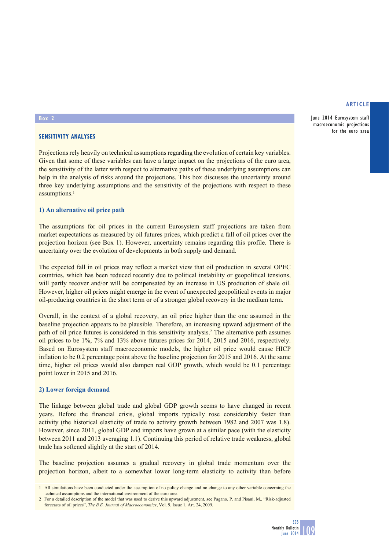June 2014 Eurosystem staff macroeconomic projections for the euro area

#### **Box 2**

# **SENSITIVITY ANALYSES**

Projections rely heavily on technical assumptions regarding the evolution of certain key variables. Given that some of these variables can have a large impact on the projections of the euro area, the sensitivity of the latter with respect to alternative paths of these underlying assumptions can help in the analysis of risks around the projections. This box discusses the uncertainty around three key underlying assumptions and the sensitivity of the projections with respect to these assumptions.<sup>1</sup>

## **1) An alternative oil price path**

The assumptions for oil prices in the current Eurosystem staff projections are taken from market expectations as measured by oil futures prices, which predict a fall of oil prices over the projection horizon (see Box 1). However, uncertainty remains regarding this profile. There is uncertainty over the evolution of developments in both supply and demand.

The expected fall in oil prices may reflect a market view that oil production in several OPEC countries, which has been reduced recently due to political instability or geopolitical tensions, will partly recover and/or will be compensated by an increase in US production of shale oil. However, higher oil prices might emerge in the event of unexpected geopolitical events in major oil-producing countries in the short term or of a stronger global recovery in the medium term.

Overall, in the context of a global recovery, an oil price higher than the one assumed in the baseline projection appears to be plausible. Therefore, an increasing upward adjustment of the path of oil price futures is considered in this sensitivity analysis.<sup>2</sup> The alternative path assumes oil prices to be 1%, 7% and 13% above futures prices for 2014, 2015 and 2016, respectively. Based on Eurosystem staff macroeconomic models, the higher oil price would cause HICP inflation to be 0.2 percentage point above the baseline projection for 2015 and 2016. At the same time, higher oil prices would also dampen real GDP growth, which would be 0.1 percentage point lower in 2015 and 2016.

## **2) Lower foreign demand**

The linkage between global trade and global GDP growth seems to have changed in recent years. Before the financial crisis, global imports typically rose considerably faster than activity (the historical elasticity of trade to activity growth between 1982 and 2007 was 1.8). However, since 2011, global GDP and imports have grown at a similar pace (with the elasticity between 2011 and 2013 averaging 1.1). Continuing this period of relative trade weakness, global trade has softened slightly at the start of 2014.

The baseline projection assumes a gradual recovery in global trade momentum over the projection horizon, albeit to a somewhat lower long-term elasticity to activity than before

<sup>1</sup> All simulations have been conducted under the assumption of no policy change and no change to any other variable concerning the technical assumptions and the international environment of the euro area.

<sup>2</sup> For a detailed description of the model that was used to derive this upward adjustment, see Pagano, P. and Pisani, M., "Risk-adjusted forecasts of oil prices", *The B.E. Journal of Macroeconomics*, Vol. 9, Issue 1, Art. 24, 2009.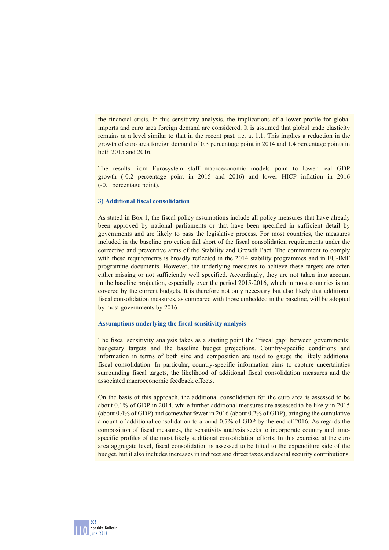the financial crisis. In this sensitivity analysis, the implications of a lower profile for global imports and euro area foreign demand are considered. It is assumed that global trade elasticity remains at a level similar to that in the recent past, i.e. at 1.1. This implies a reduction in the growth of euro area foreign demand of 0.3 percentage point in 2014 and 1.4 percentage points in both 2015 and 2016.

The results from Eurosystem staff macroeconomic models point to lower real GDP growth (-0.2 percentage point in 2015 and 2016) and lower HICP inflation in 2016 (-0.1 percentage point).

## **3) Additional fiscal consolidation**

As stated in Box 1, the fiscal policy assumptions include all policy measures that have already been approved by national parliaments or that have been specified in sufficient detail by governments and are likely to pass the legislative process. For most countries, the measures included in the baseline projection fall short of the fiscal consolidation requirements under the corrective and preventive arms of the Stability and Growth Pact. The commitment to comply with these requirements is broadly reflected in the 2014 stability programmes and in EU-IMF programme documents. However, the underlying measures to achieve these targets are often either missing or not sufficiently well specified. Accordingly, they are not taken into account in the baseline projection, especially over the period 2015-2016, which in most countries is not covered by the current budgets. It is therefore not only necessary but also likely that additional fiscal consolidation measures, as compared with those embedded in the baseline, will be adopted by most governments by 2016.

#### **Assumptions underlying the fiscal sensitivity analysis**

The fiscal sensitivity analysis takes as a starting point the "fiscal gap" between governments' budgetary targets and the baseline budget projections. Country-specific conditions and information in terms of both size and composition are used to gauge the likely additional fiscal consolidation. In particular, country-specific information aims to capture uncertainties surrounding fiscal targets, the likelihood of additional fiscal consolidation measures and the associated macroeconomic feedback effects.

On the basis of this approach, the additional consolidation for the euro area is assessed to be about 0.1% of GDP in 2014, while further additional measures are assessed to be likely in 2015 (about 0.4% of GDP) and somewhat fewer in 2016 (about 0.2% of GDP), bringing the cumulative amount of additional consolidation to around 0.7% of GDP by the end of 2016. As regards the composition of fiscal measures, the sensitivity analysis seeks to incorporate country and timespecific profiles of the most likely additional consolidation efforts. In this exercise, at the euro area aggregate level, fiscal consolidation is assessed to be tilted to the expenditure side of the budget, but it also includes increases in indirect and direct taxes and social security contributions.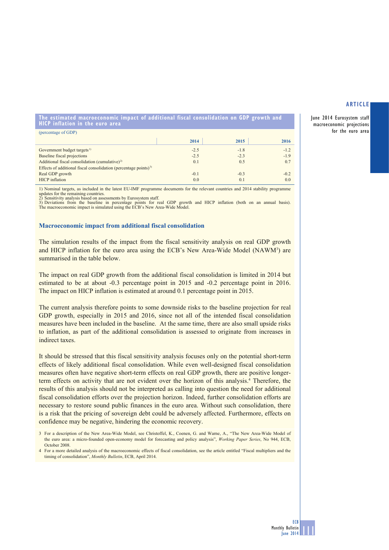June 2014 Eurosystem staff macroeconomic projections for the euro area

**The estimated macroeconomic impact of additional fiscal consolidation on GDP growth and HICP inflation in the euro area**

| (percentage of GDP)                                                          |        |        |        |
|------------------------------------------------------------------------------|--------|--------|--------|
|                                                                              | 2014   | 2015   | 2016   |
| Government budget targets <sup>1)</sup>                                      | $-2.5$ | $-1.8$ | $-1.2$ |
| Baseline fiscal projections                                                  | $-2.5$ | $-2.3$ | $-1.9$ |
| Additional fiscal consolidation (cumulative) <sup>2)</sup>                   | 0.1    | 0.5    | 0.7    |
| Effects of additional fiscal consolidation (percentage points) <sup>3)</sup> |        |        |        |
| Real GDP growth                                                              | $-0.1$ | $-0.3$ | $-0.2$ |
| <b>HICP</b> inflation                                                        | 0.0    | 0.1    | 0.0    |

1) Nominal targets, as included in the latest EU-IMF programme documents for the relevant countries and 2014 stability programme updates for the remaining countries. 2) Sensitivity analysis based on assessments by Eurosystem staff.

3) Deviations from the baseline in percentage points for real GDP growth and HICP inflation (both on an annual basis). The macroeconomic impact is simulated using the ECB's New Area-Wide Model.

#### **Macroeconomic impact from additional fiscal consolidation**

The simulation results of the impact from the fiscal sensitivity analysis on real GDP growth and HICP inflation for the euro area using the ECB's New Area-Wide Model (NAWM<sup>3</sup>) are summarised in the table below.

The impact on real GDP growth from the additional fiscal consolidation is limited in 2014 but estimated to be at about -0.3 percentage point in 2015 and -0.2 percentage point in 2016. The impact on HICP inflation is estimated at around 0.1 percentage point in 2015.

The current analysis therefore points to some downside risks to the baseline projection for real GDP growth, especially in 2015 and 2016, since not all of the intended fiscal consolidation measures have been included in the baseline. At the same time, there are also small upside risks to inflation, as part of the additional consolidation is assessed to originate from increases in indirect taxes.

It should be stressed that this fiscal sensitivity analysis focuses only on the potential short-term effects of likely additional fiscal consolidation. While even well-designed fiscal consolidation measures often have negative short-term effects on real GDP growth, there are positive longerterm effects on activity that are not evident over the horizon of this analysis.4 Therefore, the results of this analysis should not be interpreted as calling into question the need for additional fiscal consolidation efforts over the projection horizon. Indeed, further consolidation efforts are necessary to restore sound public finances in the euro area. Without such consolidation, there is a risk that the pricing of sovereign debt could be adversely affected. Furthermore, effects on confidence may be negative, hindering the economic recovery.

3 For a description of the New Area-Wide Model, see Christoffel, K., Coenen, G. and Warne, A., "The New Area-Wide Model of the euro area: a micro-founded open-economy model for forecasting and policy analysis", *Working Paper Series*, No 944, ECB, October 2008.

4 For a more detailed analysis of the macroeconomic effects of fiscal consolidation, see the article entitled "Fiscal multipliers and the timing of consolidation", *Monthly Bulletin*, ECB, April 2014.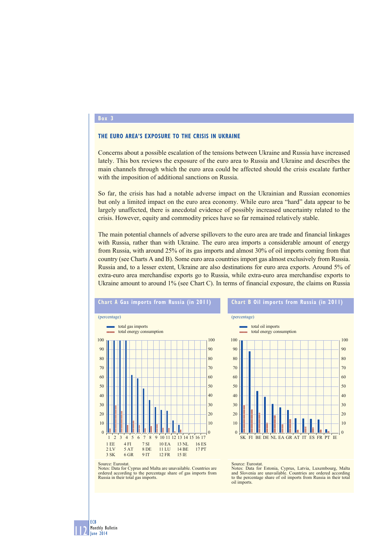## **Box 3**

## **THE EURO AREA'S EXPOSURE TO THE CRISIS IN UKRAINE**

Concerns about a possible escalation of the tensions between Ukraine and Russia have increased lately. This box reviews the exposure of the euro area to Russia and Ukraine and describes the main channels through which the euro area could be affected should the crisis escalate further with the imposition of additional sanctions on Russia.

So far, the crisis has had a notable adverse impact on the Ukrainian and Russian economies but only a limited impact on the euro area economy. While euro area "hard" data appear to be largely unaffected, there is anecdotal evidence of possibly increased uncertainty related to the crisis. However, equity and commodity prices have so far remained relatively stable.

The main potential channels of adverse spillovers to the euro area are trade and financial linkages with Russia, rather than with Ukraine. The euro area imports a considerable amount of energy from Russia, with around 25% of its gas imports and almost 30% of oil imports coming from that country (see Charts A and B). Some euro area countries import gas almost exclusively from Russia. Russia and, to a lesser extent, Ukraine are also destinations for euro area exports. Around 5% of extra-euro area merchandise exports go to Russia, while extra-euro area merchandise exports to Ukraine amount to around 1% (see Chart C). In terms of financial exposure, the claims on Russia



# **Chart B Oil imports from Russia (in 2011)**



Notes: Data for Cyprus and Malta are unavailable. Countries are ordered according to the percentage share of gas imports from Russia in their total gas imports.

Source: Eurostat.

Notes: Data for Estonia, Cyprus, Latvia, Luxembourg, Malta and Slovenia are unavailable. Countries are ordered according to the percentage share of oil imports from Russia in their total oil imports.

<u>| | | |</u> ECB Monthly Bulletin June 2014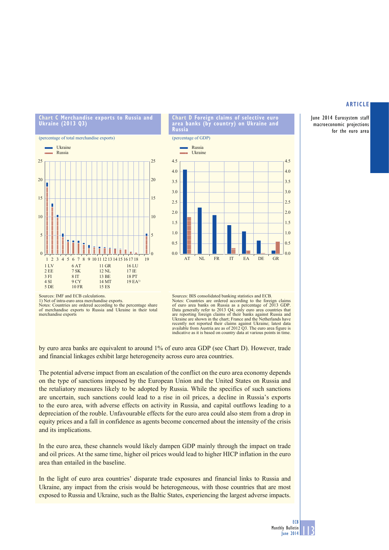June 2014 Eurosystem staff macroeconomic projections for the euro area





**Chart D Foreign claims of selective euro area banks (by country) on Ukraine and Russia**



#### Sources: IMF and ECB calculations.

1) Net of intra-euro area merchandise exports. Notes: Countries are ordered according to the percentage share of merchandise exports to Russia and Ukraine in their total merchandise exports



by euro area banks are equivalent to around 1% of euro area GDP (see Chart D). However, trade and financial linkages exhibit large heterogeneity across euro area countries.

The potential adverse impact from an escalation of the conflict on the euro area economy depends on the type of sanctions imposed by the European Union and the United States on Russia and the retaliatory measures likely to be adopted by Russia. While the specifics of such sanctions are uncertain, such sanctions could lead to a rise in oil prices, a decline in Russia's exports to the euro area, with adverse effects on activity in Russia, and capital outflows leading to a depreciation of the rouble. Unfavourable effects for the euro area could also stem from a drop in equity prices and a fall in confidence as agents become concerned about the intensity of the crisis and its implications.

In the euro area, these channels would likely dampen GDP mainly through the impact on trade and oil prices. At the same time, higher oil prices would lead to higher HICP inflation in the euro area than entailed in the baseline.

In the light of euro area countries' disparate trade exposures and financial links to Russia and Ukraine, any impact from the crisis would be heterogeneous, with those countries that are most exposed to Russia and Ukraine, such as the Baltic States, experiencing the largest adverse impacts.